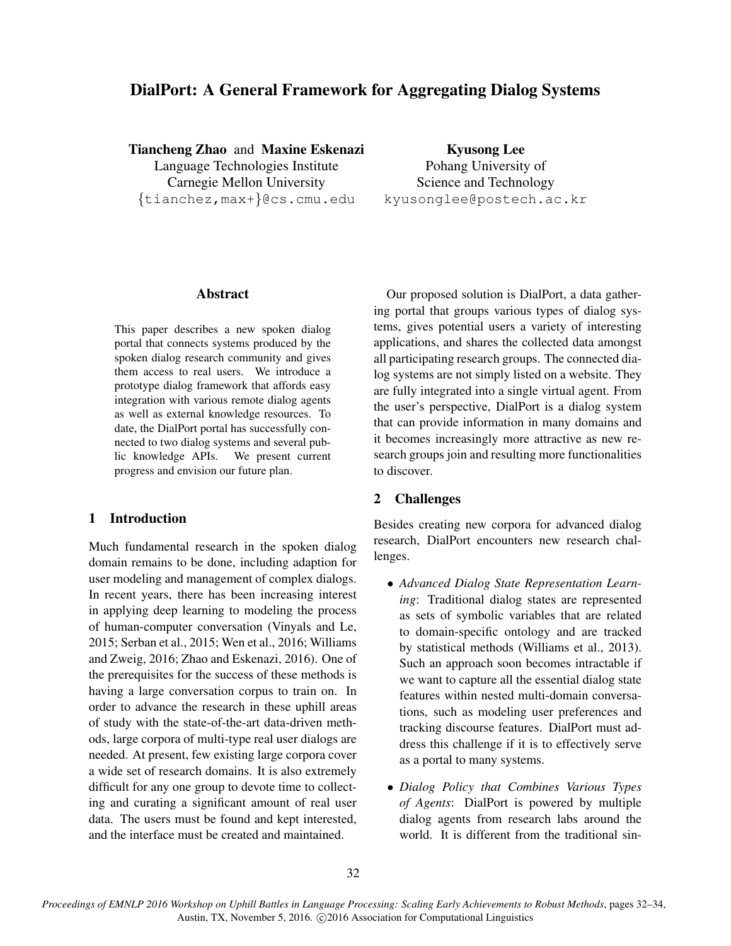# DialPort: A General Framework for Aggregating Dialog Systems

Tiancheng Zhao and Maxine Eskenazi Language Technologies Institute Carnegie Mellon University {tianchez,max+}@cs.cmu.edu

Kyusong Lee Pohang University of Science and Technology kyusonglee@postech.ac.kr

#### Abstract

This paper describes a new spoken dialog portal that connects systems produced by the spoken dialog research community and gives them access to real users. We introduce a prototype dialog framework that affords easy integration with various remote dialog agents as well as external knowledge resources. To date, the DialPort portal has successfully connected to two dialog systems and several public knowledge APIs. We present current progress and envision our future plan.

# 1 Introduction

Much fundamental research in the spoken dialog domain remains to be done, including adaption for user modeling and management of complex dialogs. In recent years, there has been increasing interest in applying deep learning to modeling the process of human-computer conversation (Vinyals and Le, 2015; Serban et al., 2015; Wen et al., 2016; Williams and Zweig, 2016; Zhao and Eskenazi, 2016). One of the prerequisites for the success of these methods is having a large conversation corpus to train on. In order to advance the research in these uphill areas of study with the state-of-the-art data-driven methods, large corpora of multi-type real user dialogs are needed. At present, few existing large corpora cover a wide set of research domains. It is also extremely difficult for any one group to devote time to collecting and curating a significant amount of real user data. The users must be found and kept interested, and the interface must be created and maintained.

Our proposed solution is DialPort, a data gathering portal that groups various types of dialog systems, gives potential users a variety of interesting applications, and shares the collected data amongst all participating research groups. The connected dialog systems are not simply listed on a website. They are fully integrated into a single virtual agent. From the user's perspective, DialPort is a dialog system that can provide information in many domains and it becomes increasingly more attractive as new research groups join and resulting more functionalities to discover.

# 2 Challenges

Besides creating new corpora for advanced dialog research, DialPort encounters new research challenges.

- *Advanced Dialog State Representation Learning*: Traditional dialog states are represented as sets of symbolic variables that are related to domain-specific ontology and are tracked by statistical methods (Williams et al., 2013). Such an approach soon becomes intractable if we want to capture all the essential dialog state features within nested multi-domain conversations, such as modeling user preferences and tracking discourse features. DialPort must address this challenge if it is to effectively serve as a portal to many systems.
- *Dialog Policy that Combines Various Types of Agents*: DialPort is powered by multiple dialog agents from research labs around the world. It is different from the traditional sin-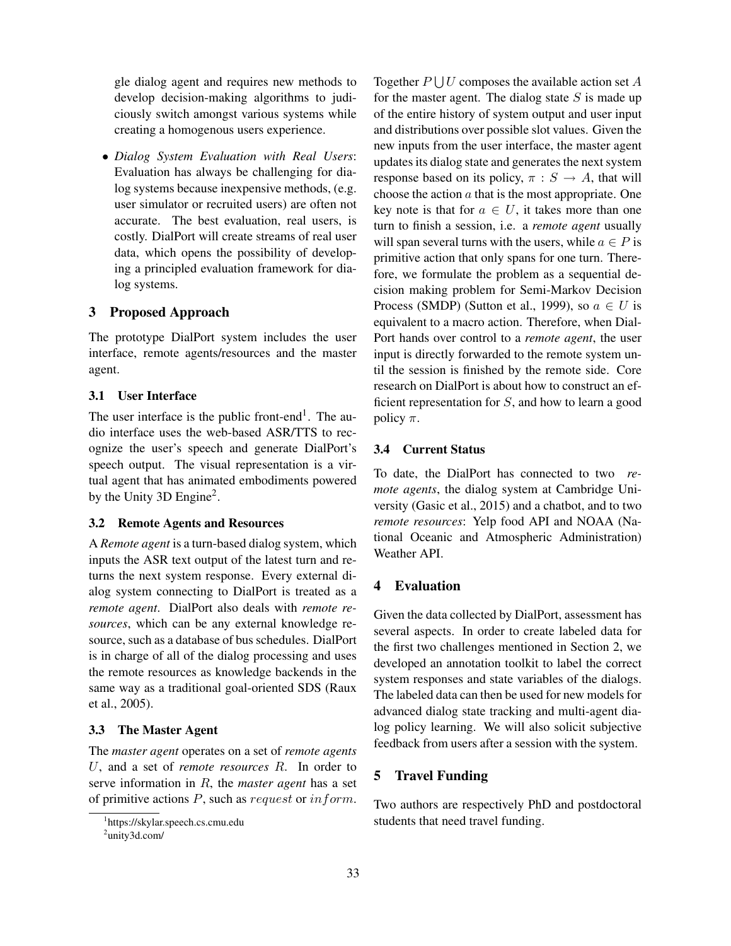gle dialog agent and requires new methods to develop decision-making algorithms to judiciously switch amongst various systems while creating a homogenous users experience.

• *Dialog System Evaluation with Real Users*: Evaluation has always be challenging for dialog systems because inexpensive methods, (e.g. user simulator or recruited users) are often not accurate. The best evaluation, real users, is costly. DialPort will create streams of real user data, which opens the possibility of developing a principled evaluation framework for dialog systems.

## 3 Proposed Approach

The prototype DialPort system includes the user interface, remote agents/resources and the master agent.

#### 3.1 User Interface

The user interface is the public front-end<sup>1</sup>. The audio interface uses the web-based ASR/TTS to recognize the user's speech and generate DialPort's speech output. The visual representation is a virtual agent that has animated embodiments powered by the Unity 3D Engine<sup>2</sup>.

#### 3.2 Remote Agents and Resources

A *Remote agent* is a turn-based dialog system, which inputs the ASR text output of the latest turn and returns the next system response. Every external dialog system connecting to DialPort is treated as a *remote agent*. DialPort also deals with *remote resources*, which can be any external knowledge resource, such as a database of bus schedules. DialPort is in charge of all of the dialog processing and uses the remote resources as knowledge backends in the same way as a traditional goal-oriented SDS (Raux et al., 2005).

## 3.3 The Master Agent

The *master agent* operates on a set of *remote agents* U, and a set of *remote resources* R. In order to serve information in R, the *master agent* has a set of primitive actions  $P$ , such as request or inform.

Together  $P \bigcup U$  composes the available action set A for the master agent. The dialog state  $S$  is made up of the entire history of system output and user input and distributions over possible slot values. Given the new inputs from the user interface, the master agent updates its dialog state and generates the next system response based on its policy,  $\pi : S \to A$ , that will choose the action  $a$  that is the most appropriate. One key note is that for  $a \in U$ , it takes more than one turn to finish a session, i.e. a *remote agent* usually will span several turns with the users, while  $a \in P$  is primitive action that only spans for one turn. Therefore, we formulate the problem as a sequential decision making problem for Semi-Markov Decision Process (SMDP) (Sutton et al., 1999), so  $a \in U$  is equivalent to a macro action. Therefore, when Dial-Port hands over control to a *remote agent*, the user input is directly forwarded to the remote system until the session is finished by the remote side. Core research on DialPort is about how to construct an efficient representation for  $S$ , and how to learn a good policy  $\pi$ .

#### 3.4 Current Status

To date, the DialPort has connected to two *remote agents*, the dialog system at Cambridge University (Gasic et al., 2015) and a chatbot, and to two *remote resources*: Yelp food API and NOAA (National Oceanic and Atmospheric Administration) Weather API.

## 4 Evaluation

Given the data collected by DialPort, assessment has several aspects. In order to create labeled data for the first two challenges mentioned in Section 2, we developed an annotation toolkit to label the correct system responses and state variables of the dialogs. The labeled data can then be used for new models for advanced dialog state tracking and multi-agent dialog policy learning. We will also solicit subjective feedback from users after a session with the system.

## 5 Travel Funding

Two authors are respectively PhD and postdoctoral students that need travel funding.

<sup>1</sup> https://skylar.speech.cs.cmu.edu

<sup>&</sup>lt;sup>2</sup>unity3d.com/